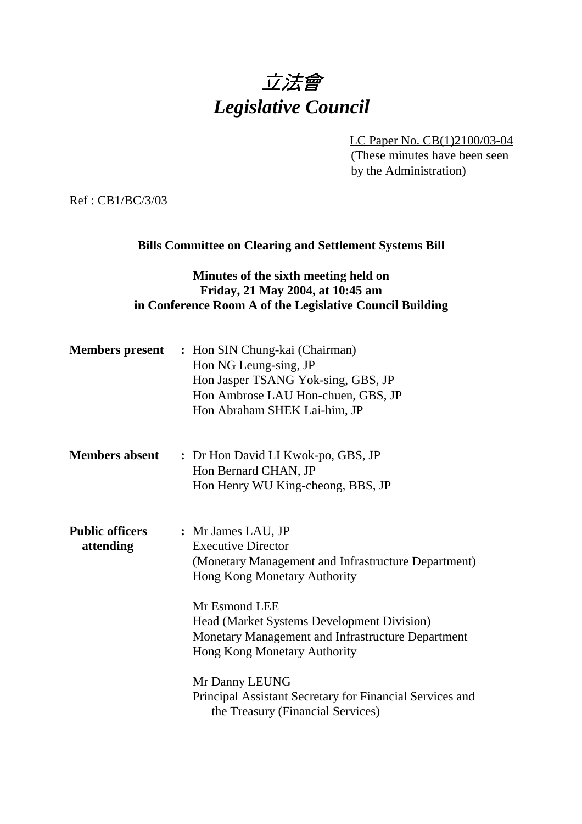# 立法會 *Legislative Council*

LC Paper No. CB(1)2100/03-04 (These minutes have been seen by the Administration)

Ref : CB1/BC/3/03

### **Bills Committee on Clearing and Settlement Systems Bill**

## **Minutes of the sixth meeting held on Friday, 21 May 2004, at 10:45 am in Conference Room A of the Legislative Council Building**

| <b>Members present</b>              | : Hon SIN Chung-kai (Chairman)<br>Hon NG Leung-sing, JP<br>Hon Jasper TSANG Yok-sing, GBS, JP<br>Hon Ambrose LAU Hon-chuen, GBS, JP<br>Hon Abraham SHEK Lai-him, JP                                                                                                                                                                                                                                                         |
|-------------------------------------|-----------------------------------------------------------------------------------------------------------------------------------------------------------------------------------------------------------------------------------------------------------------------------------------------------------------------------------------------------------------------------------------------------------------------------|
| <b>Members absent</b>               | : Dr Hon David LI Kwok-po, GBS, JP<br>Hon Bernard CHAN, JP<br>Hon Henry WU King-cheong, BBS, JP                                                                                                                                                                                                                                                                                                                             |
| <b>Public officers</b><br>attending | : Mr James LAU, JP<br><b>Executive Director</b><br>(Monetary Management and Infrastructure Department)<br><b>Hong Kong Monetary Authority</b><br>Mr Esmond LEE<br><b>Head (Market Systems Development Division)</b><br>Monetary Management and Infrastructure Department<br>Hong Kong Monetary Authority<br>Mr Danny LEUNG<br>Principal Assistant Secretary for Financial Services and<br>the Treasury (Financial Services) |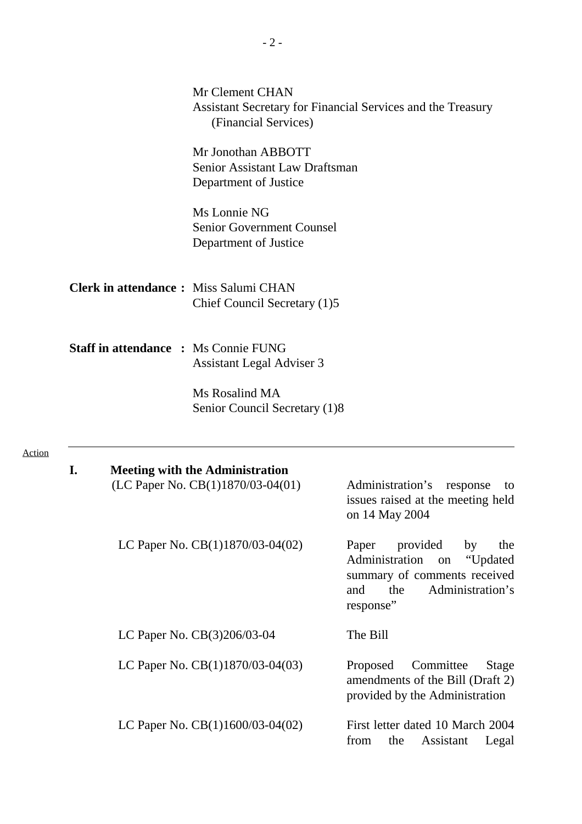|                                             | Mr Clement CHAN<br>(Financial Services)                                         | Assistant Secretary for Financial Services and the Treasury                                                                                       |
|---------------------------------------------|---------------------------------------------------------------------------------|---------------------------------------------------------------------------------------------------------------------------------------------------|
|                                             | Mr Jonothan ABBOTT<br>Senior Assistant Law Draftsman<br>Department of Justice   |                                                                                                                                                   |
|                                             | Ms Lonnie NG<br><b>Senior Government Counsel</b><br>Department of Justice       |                                                                                                                                                   |
|                                             | <b>Clerk in attendance:</b> Miss Salumi CHAN<br>Chief Council Secretary (1)5    |                                                                                                                                                   |
| <b>Staff in attendance : Ms Connie FUNG</b> | <b>Assistant Legal Adviser 3</b>                                                |                                                                                                                                                   |
|                                             | Ms Rosalind MA<br>Senior Council Secretary (1)8                                 |                                                                                                                                                   |
| I.                                          | <b>Meeting with the Administration</b><br>(LC Paper No. $CB(1)1870/03-04(01)$ ) | — Administration's<br>response<br>to<br>issues raised at the meeting held<br>on 14 May 2004                                                       |
|                                             | LC Paper No. CB(1)1870/03-04(02)                                                | Paper<br>provided<br>by<br>the<br>Administration<br>"Updated<br>on<br>summary of comments received<br>Administration's<br>and<br>the<br>response" |
|                                             | LC Paper No. CB(3)206/03-04                                                     | The Bill                                                                                                                                          |
|                                             | LC Paper No. CB(1)1870/03-04(03)                                                | Committee<br>Proposed<br>Stage<br>amendments of the Bill (Draft 2)<br>provided by the Administration                                              |
|                                             | LC Paper No. $CB(1)1600/03-04(02)$                                              | First letter dated 10 March 2004<br>from<br>Assistant<br>the<br>Legal                                                                             |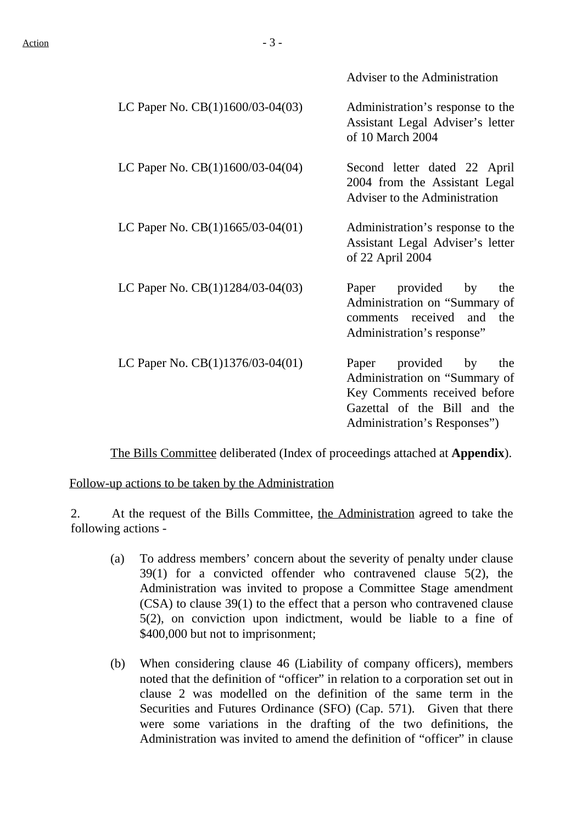Adviser to the Administration

| LC Paper No. CB(1)1600/03-04(03)   | Administration's response to the<br>Assistant Legal Adviser's letter<br>of 10 March 2004                                                                  |
|------------------------------------|-----------------------------------------------------------------------------------------------------------------------------------------------------------|
| LC Paper No. CB(1)1600/03-04(04)   | Second letter dated 22 April<br>2004 from the Assistant Legal<br>Adviser to the Administration                                                            |
| LC Paper No. $CB(1)1665/03-04(01)$ | Administration's response to the<br>$\overbrace{\phantom{aaaaa}}$<br>Assistant Legal Adviser's letter<br>of 22 April 2004                                 |
| LC Paper No. CB(1)1284/03-04(03)   | Paper provided by<br>the<br>Administration on "Summary of<br>comments received and the<br>Administration's response"                                      |
| LC Paper No. CB(1)1376/03-04(01)   | Paper provided by<br>the<br>Administration on "Summary of<br>Key Comments received before<br>Gazettal of the Bill and the<br>Administration's Responses") |

The Bills Committee deliberated (Index of proceedings attached at **Appendix**).

Follow-up actions to be taken by the Administration

2. At the request of the Bills Committee, the Administration agreed to take the following actions -

- (a) To address members' concern about the severity of penalty under clause 39(1) for a convicted offender who contravened clause 5(2), the Administration was invited to propose a Committee Stage amendment (CSA) to clause 39(1) to the effect that a person who contravened clause 5(2), on conviction upon indictment, would be liable to a fine of \$400,000 but not to imprisonment;
- (b) When considering clause 46 (Liability of company officers), members noted that the definition of "officer" in relation to a corporation set out in clause 2 was modelled on the definition of the same term in the Securities and Futures Ordinance (SFO) (Cap. 571). Given that there were some variations in the drafting of the two definitions, the Administration was invited to amend the definition of "officer" in clause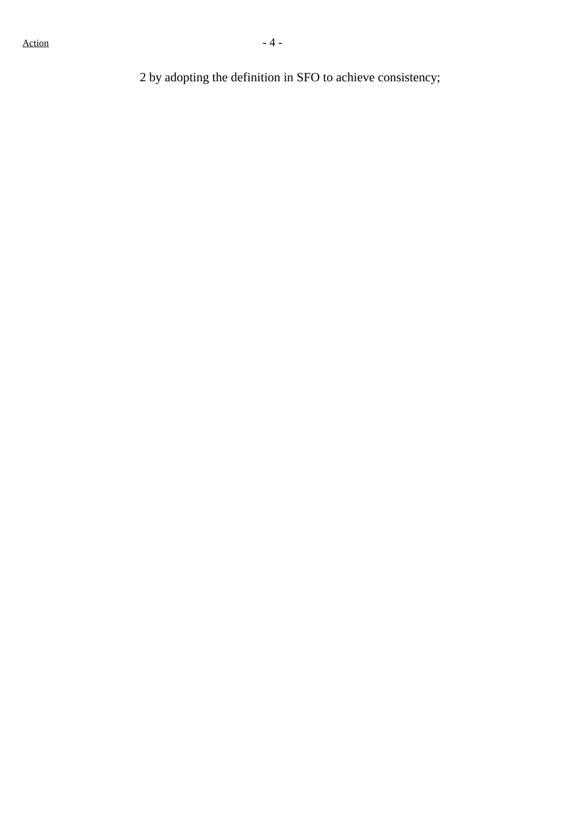2 by adopting the definition in SFO to achieve consistency;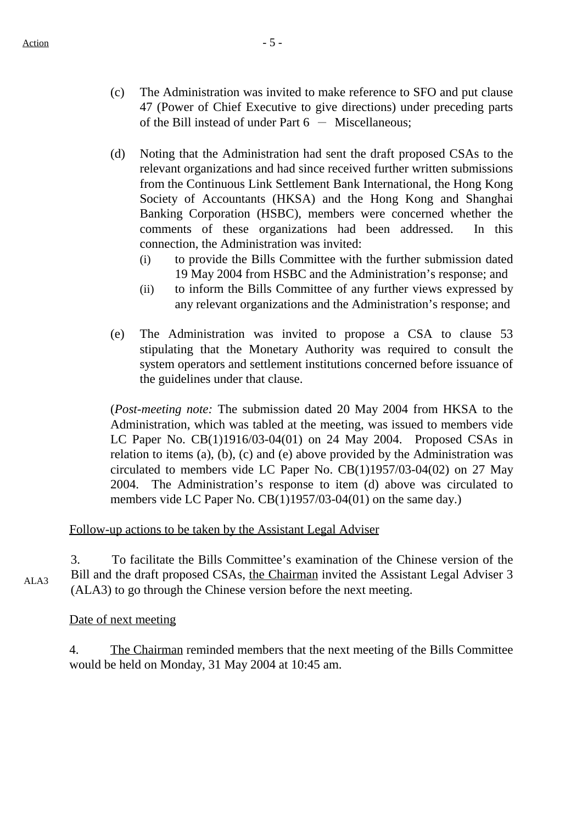- (c) The Administration was invited to make reference to SFO and put clause 47 (Power of Chief Executive to give directions) under preceding parts of the Bill instead of under Part  $6 -$  Miscellaneous;
- (d) Noting that the Administration had sent the draft proposed CSAs to the relevant organizations and had since received further written submissions from the Continuous Link Settlement Bank International, the Hong Kong Society of Accountants (HKSA) and the Hong Kong and Shanghai Banking Corporation (HSBC), members were concerned whether the comments of these organizations had been addressed. In this connection, the Administration was invited:
	- (i) to provide the Bills Committee with the further submission dated 19 May 2004 from HSBC and the Administration's response; and
	- (ii) to inform the Bills Committee of any further views expressed by any relevant organizations and the Administration's response; and
- (e) The Administration was invited to propose a CSA to clause 53 stipulating that the Monetary Authority was required to consult the system operators and settlement institutions concerned before issuance of the guidelines under that clause.

(*Post-meeting note:* The submission dated 20 May 2004 from HKSA to the Administration, which was tabled at the meeting, was issued to members vide LC Paper No. CB(1)1916/03-04(01) on 24 May 2004. Proposed CSAs in relation to items (a), (b), (c) and (e) above provided by the Administration was circulated to members vide LC Paper No. CB(1)1957/03-04(02) on 27 May 2004. The Administration's response to item (d) above was circulated to members vide LC Paper No. CB(1)1957/03-04(01) on the same day.)

## Follow-up actions to be taken by the Assistant Legal Adviser

ALA3 3. To facilitate the Bills Committee's examination of the Chinese version of the Bill and the draft proposed CSAs, the Chairman invited the Assistant Legal Adviser 3 (ALA3) to go through the Chinese version before the next meeting.

#### Date of next meeting

4. The Chairman reminded members that the next meeting of the Bills Committee would be held on Monday, 31 May 2004 at 10:45 am.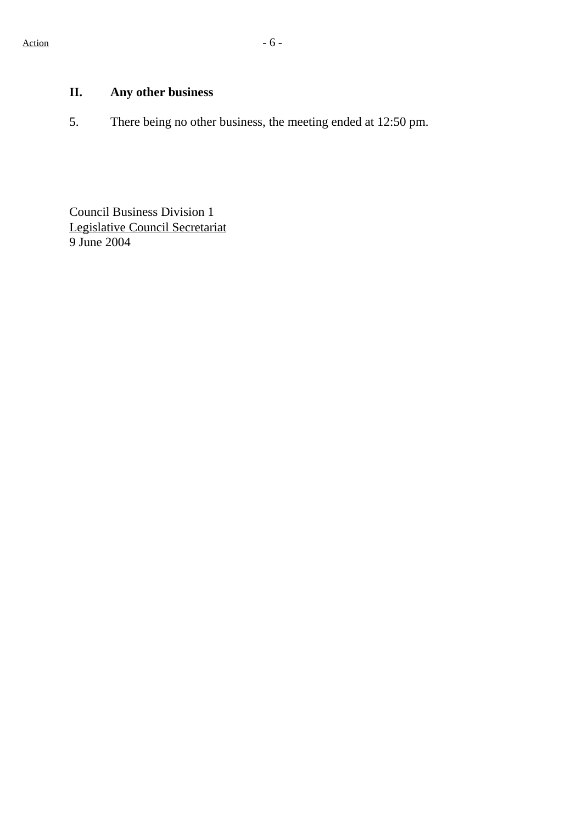# **II. Any other business**

5. There being no other business, the meeting ended at 12:50 pm.

Council Business Division 1 Legislative Council Secretariat 9 June 2004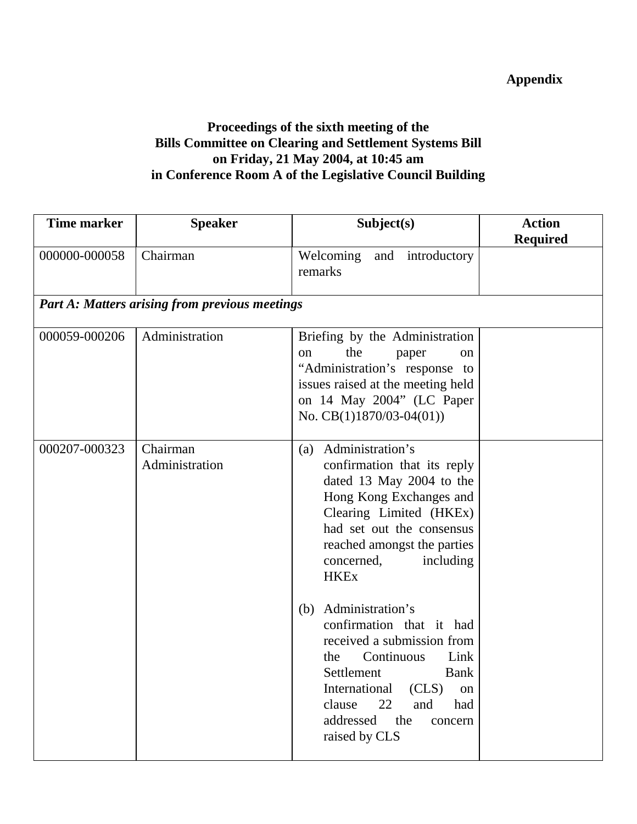# **Appendix**

# **Proceedings of the sixth meeting of the Bills Committee on Clearing and Settlement Systems Bill on Friday, 21 May 2004, at 10:45 am in Conference Room A of the Legislative Council Building**

| <b>Time marker</b> | <b>Speaker</b>                                        | Subject(s)                                                                                                                                                                                                                                                                                                                                                                                                                                                                                         | <b>Action</b><br><b>Required</b> |
|--------------------|-------------------------------------------------------|----------------------------------------------------------------------------------------------------------------------------------------------------------------------------------------------------------------------------------------------------------------------------------------------------------------------------------------------------------------------------------------------------------------------------------------------------------------------------------------------------|----------------------------------|
| 000000-000058      | Chairman                                              | Welcoming<br>and introductory<br>remarks                                                                                                                                                                                                                                                                                                                                                                                                                                                           |                                  |
|                    | <b>Part A: Matters arising from previous meetings</b> |                                                                                                                                                                                                                                                                                                                                                                                                                                                                                                    |                                  |
| 000059-000206      | Administration                                        | Briefing by the Administration<br>the<br>paper<br><sub>on</sub><br>on<br>"Administration's response to<br>issues raised at the meeting held<br>on 14 May 2004" (LC Paper<br>No. $CB(1)1870/03-04(01))$                                                                                                                                                                                                                                                                                             |                                  |
| 000207-000323      | Chairman<br>Administration                            | Administration's<br>(a)<br>confirmation that its reply<br>dated 13 May 2004 to the<br>Hong Kong Exchanges and<br>Clearing Limited (HKEx)<br>had set out the consensus<br>reached amongst the parties<br>including<br>concerned,<br><b>HKEx</b><br>Administration's<br>(b)<br>confirmation that it had<br>received a submission from<br>Continuous<br>Link<br>the<br>Settlement<br><b>Bank</b><br>International (CLS) on<br>clause<br>22<br>and<br>had<br>addressed the<br>concern<br>raised by CLS |                                  |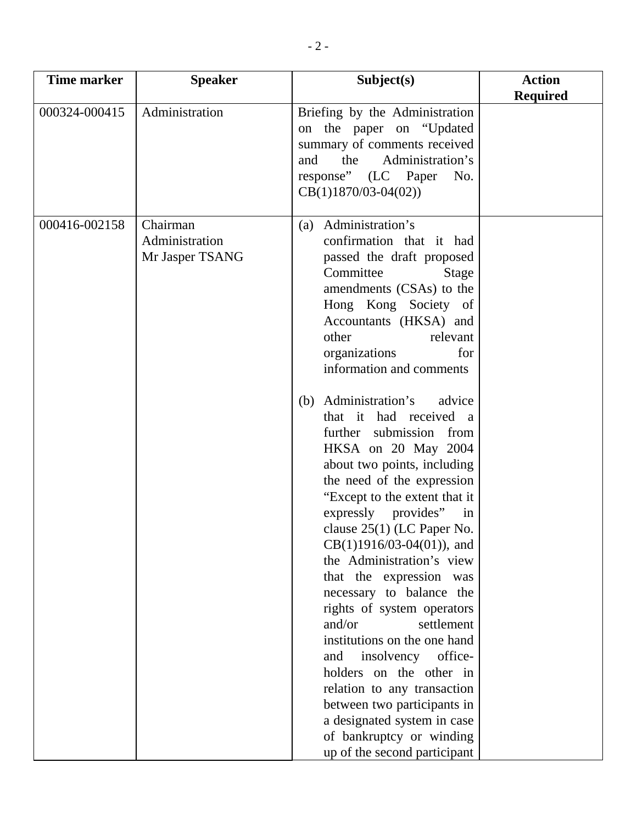| <b>Time marker</b> | <b>Speaker</b>                                | Subject(s)                                                                                                                                                                                                                                                                                                                                                                                                                                                                                                                                                                                                                                                                                                                                                                                                                                                                                                                                                       | <b>Action</b><br><b>Required</b> |
|--------------------|-----------------------------------------------|------------------------------------------------------------------------------------------------------------------------------------------------------------------------------------------------------------------------------------------------------------------------------------------------------------------------------------------------------------------------------------------------------------------------------------------------------------------------------------------------------------------------------------------------------------------------------------------------------------------------------------------------------------------------------------------------------------------------------------------------------------------------------------------------------------------------------------------------------------------------------------------------------------------------------------------------------------------|----------------------------------|
| 000324-000415      | Administration                                | Briefing by the Administration<br>on the paper on "Updated<br>summary of comments received<br>Administration's<br>and<br>the<br>response" (LC Paper<br>No.<br>$CB(1)1870/03-04(02))$                                                                                                                                                                                                                                                                                                                                                                                                                                                                                                                                                                                                                                                                                                                                                                             |                                  |
| 000416-002158      | Chairman<br>Administration<br>Mr Jasper TSANG | Administration's<br>(a)<br>confirmation that it had<br>passed the draft proposed<br>Committee<br>Stage<br>amendments (CSAs) to the<br>Hong Kong Society of<br>Accountants (HKSA) and<br>other<br>relevant<br>organizations<br>for<br>information and comments<br>Administration's<br>advice<br>(b)<br>that it had received a<br>further submission from<br>HKSA on 20 May 2004<br>about two points, including<br>the need of the expression<br>"Except to the extent that it<br>expressly provides" in<br>clause $25(1)$ (LC Paper No.<br>$CB(1)1916/03-04(01)$ , and<br>the Administration's view<br>that the expression was<br>necessary to balance the<br>rights of system operators<br>and/or<br>settlement<br>institutions on the one hand<br>insolvency office-<br>and<br>holders on the other in<br>relation to any transaction<br>between two participants in<br>a designated system in case<br>of bankruptcy or winding<br>up of the second participant |                                  |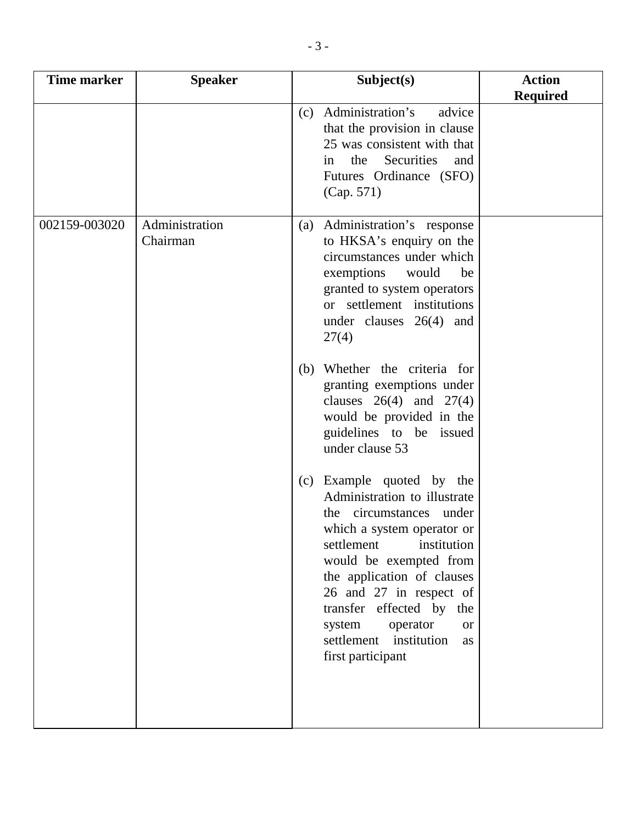| <b>Time marker</b> | <b>Speaker</b>             | Subject(s)                                                                                                                                                                                                                                                                                                                                             | <b>Action</b><br><b>Required</b> |
|--------------------|----------------------------|--------------------------------------------------------------------------------------------------------------------------------------------------------------------------------------------------------------------------------------------------------------------------------------------------------------------------------------------------------|----------------------------------|
|                    |                            | Administration's<br>advice<br>(c)<br>that the provision in clause<br>25 was consistent with that<br>Securities<br>the<br>and<br>in<br>Futures Ordinance (SFO)<br>(Cap. 571)                                                                                                                                                                            |                                  |
| 002159-003020      | Administration<br>Chairman | Administration's response<br>(a)<br>to HKSA's enquiry on the<br>circumstances under which<br>exemptions<br>would<br>be<br>granted to system operators<br>or settlement institutions<br>under clauses $26(4)$ and<br>27(4)                                                                                                                              |                                  |
|                    |                            | (b) Whether the criteria for<br>granting exemptions under<br>clauses $26(4)$ and $27(4)$<br>would be provided in the<br>guidelines to be issued<br>under clause 53                                                                                                                                                                                     |                                  |
|                    |                            | (c) Example quoted by the<br>Administration to illustrate<br>the circumstances under<br>which a system operator or<br>settlement<br>institution<br>would be exempted from<br>the application of clauses<br>26 and 27 in respect of<br>transfer effected by the<br>system<br>operator<br><b>or</b><br>settlement institution<br>as<br>first participant |                                  |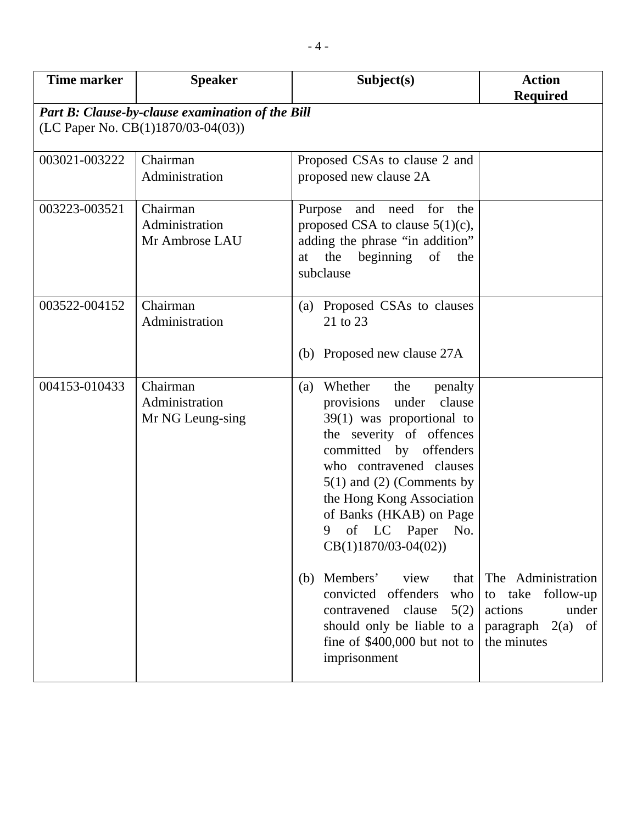| <b>Time marker</b> | <b>Speaker</b>                                   | Subject(s)                                                                                                                                                                                                                                                                                                                                                                                                                                                                                                     | <b>Action</b><br><b>Required</b>                                                                  |
|--------------------|--------------------------------------------------|----------------------------------------------------------------------------------------------------------------------------------------------------------------------------------------------------------------------------------------------------------------------------------------------------------------------------------------------------------------------------------------------------------------------------------------------------------------------------------------------------------------|---------------------------------------------------------------------------------------------------|
|                    | Part B: Clause-by-clause examination of the Bill |                                                                                                                                                                                                                                                                                                                                                                                                                                                                                                                |                                                                                                   |
|                    | (LC Paper No. CB(1)1870/03-04(03))               |                                                                                                                                                                                                                                                                                                                                                                                                                                                                                                                |                                                                                                   |
| 003021-003222      | Chairman<br>Administration                       | Proposed CSAs to clause 2 and<br>proposed new clause 2A                                                                                                                                                                                                                                                                                                                                                                                                                                                        |                                                                                                   |
| 003223-003521      | Chairman<br>Administration<br>Mr Ambrose LAU     | need<br>for<br>the<br>Purpose<br>and<br>proposed CSA to clause $5(1)(c)$ ,<br>adding the phrase "in addition"<br>the<br>beginning<br>of<br>the<br>at<br>subclause                                                                                                                                                                                                                                                                                                                                              |                                                                                                   |
| 003522-004152      | Chairman<br>Administration                       | (a) Proposed CSAs to clauses<br>21 to 23<br>(b) Proposed new clause 27A                                                                                                                                                                                                                                                                                                                                                                                                                                        |                                                                                                   |
| 004153-010433      | Chairman<br>Administration<br>Mr NG Leung-sing   | Whether<br>the<br>penalty<br>(a)<br>clause<br>provisions<br>under<br>$39(1)$ was proportional to<br>the severity of offences<br>committed by offenders<br>who contravened clauses<br>$5(1)$ and (2) (Comments by<br>the Hong Kong Association<br>of Banks (HKAB) on Page<br>9<br>of<br>LC Paper<br>No.<br>$CB(1)1870/03-04(02))$<br>Members'<br>view<br>that<br>(b)<br>who<br>convicted offenders<br>5(2)<br>contravened clause<br>should only be liable to a<br>fine of $$400,000$ but not to<br>imprisonment | The Administration<br>to take follow-up<br>under<br>actions<br>paragraph $2(a)$ of<br>the minutes |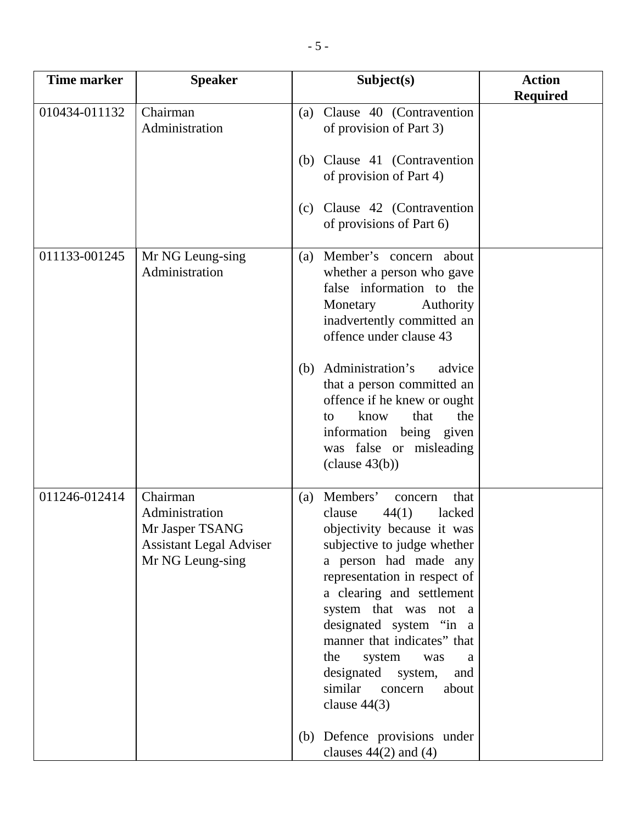| <b>Time marker</b> | <b>Speaker</b>                                                                                      | Subject(s)                                                                                                                                                                                                                                                                                                                                                                                                       | <b>Action</b><br><b>Required</b> |
|--------------------|-----------------------------------------------------------------------------------------------------|------------------------------------------------------------------------------------------------------------------------------------------------------------------------------------------------------------------------------------------------------------------------------------------------------------------------------------------------------------------------------------------------------------------|----------------------------------|
| 010434-011132      | Chairman<br>Administration                                                                          | Clause 40 (Contravention<br>(a)<br>of provision of Part 3)                                                                                                                                                                                                                                                                                                                                                       |                                  |
|                    |                                                                                                     | Clause 41 (Contravention<br>(b)<br>of provision of Part 4)                                                                                                                                                                                                                                                                                                                                                       |                                  |
|                    |                                                                                                     | Clause 42 (Contravention<br>(c)<br>of provisions of Part 6)                                                                                                                                                                                                                                                                                                                                                      |                                  |
| 011133-001245      | Mr NG Leung-sing<br>Administration                                                                  | Member's concern about<br>(a)<br>whether a person who gave<br>false information to the<br>Monetary<br>Authority<br>inadvertently committed an<br>offence under clause 43                                                                                                                                                                                                                                         |                                  |
|                    |                                                                                                     | Administration's<br>advice<br>(b)<br>that a person committed an<br>offence if he knew or ought<br>know<br>that<br>the<br>to<br>information being given<br>was false or misleading<br>clause 43(b))                                                                                                                                                                                                               |                                  |
| 011246-012414      | Chairman<br>Administration<br>Mr Jasper TSANG<br><b>Assistant Legal Adviser</b><br>Mr NG Leung-sing | Members'<br>that<br>(a)<br>concern<br>44(1)<br>clause<br>lacked<br>objectivity because it was<br>subjective to judge whether<br>a person had made any<br>representation in respect of<br>a clearing and settlement<br>system that was not a<br>designated system "in a<br>manner that indicates" that<br>the<br>system<br>was<br>a<br>designated system,<br>and<br>similar<br>about<br>concern<br>clause $44(3)$ |                                  |
|                    |                                                                                                     | (b) Defence provisions under<br>clauses $44(2)$ and $(4)$                                                                                                                                                                                                                                                                                                                                                        |                                  |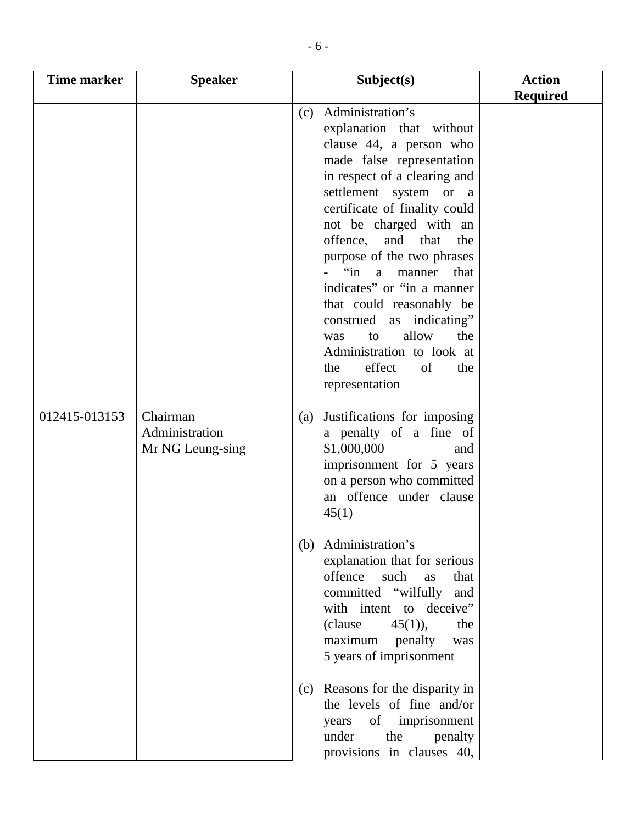| <b>Time marker</b> | <b>Speaker</b>                                 | Subject(s)                                                                                                                                                                                                                                                                                                                                                                                                                                                                                                                                                                    | <b>Action</b><br><b>Required</b> |
|--------------------|------------------------------------------------|-------------------------------------------------------------------------------------------------------------------------------------------------------------------------------------------------------------------------------------------------------------------------------------------------------------------------------------------------------------------------------------------------------------------------------------------------------------------------------------------------------------------------------------------------------------------------------|----------------------------------|
|                    |                                                | (c) Administration's<br>explanation that without<br>clause 44, a person who<br>made false representation<br>in respect of a clearing and<br>settlement system or a<br>certificate of finality could<br>not be charged with an<br>offence,<br>and<br>that<br>the<br>purpose of the two phrases<br>$\lim a$<br>manner<br>that<br>indicates" or "in a manner"<br>that could reasonably be<br>construed as indicating"<br>allow<br>the<br>to<br>was<br>Administration to look at<br>effect<br>of<br>the<br>the<br>representation                                                  |                                  |
| 012415-013153      | Chairman<br>Administration<br>Mr NG Leung-sing | Justifications for imposing<br>(a)<br>a penalty of a fine of<br>\$1,000,000<br>and<br>imprisonment for 5 years<br>on a person who committed<br>an offence under clause<br>45(1)<br>Administration's<br>(b)<br>explanation that for serious<br>offence<br>such<br>that<br>as<br>committed "wilfully and<br>with intent to deceive"<br>(clause<br>$45(1)$ ,<br>the<br>maximum<br>penalty<br>was<br>5 years of imprisonment<br>(c) Reasons for the disparity in<br>the levels of fine and/or<br>of imprisonment<br>years<br>under<br>the<br>penalty<br>provisions in clauses 40, |                                  |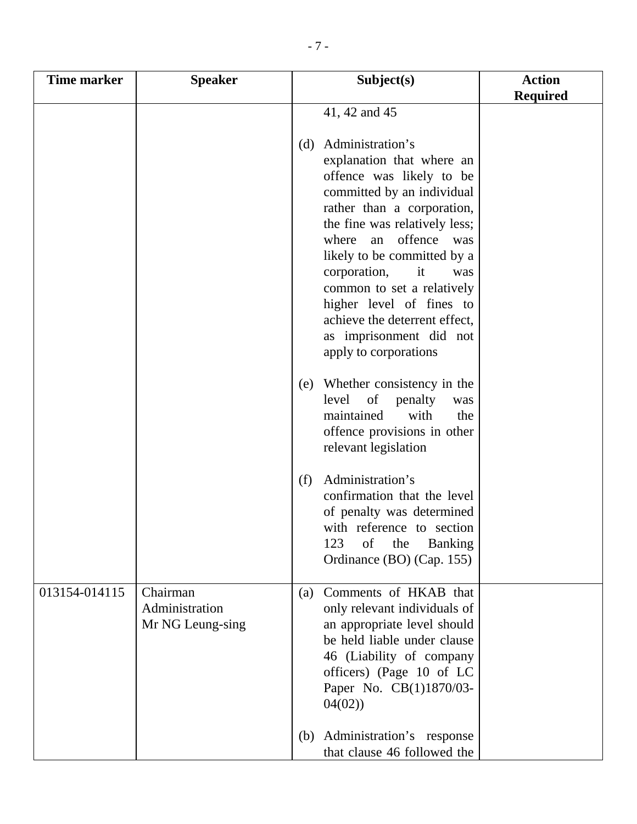| <b>Time marker</b> | <b>Speaker</b>                                 | Subject(s)                                                                                                                                                                                                                                                                                                                                                                                                      | <b>Action</b><br><b>Required</b> |
|--------------------|------------------------------------------------|-----------------------------------------------------------------------------------------------------------------------------------------------------------------------------------------------------------------------------------------------------------------------------------------------------------------------------------------------------------------------------------------------------------------|----------------------------------|
|                    |                                                | 41, 42 and 45                                                                                                                                                                                                                                                                                                                                                                                                   |                                  |
|                    |                                                | Administration's<br>(d)<br>explanation that where an<br>offence was likely to be<br>committed by an individual<br>rather than a corporation,<br>the fine was relatively less;<br>offence was<br>where<br>an<br>likely to be committed by a<br>corporation,<br>it<br>common to set a relatively<br>higher level of fines to<br>achieve the deterrent effect,<br>as imprisonment did not<br>apply to corporations | was                              |
|                    |                                                | Whether consistency in the<br>(e)<br>level of<br>penalty<br>maintained<br>with<br>offence provisions in other<br>relevant legislation                                                                                                                                                                                                                                                                           | was<br>the                       |
|                    |                                                | Administration's<br>(f)<br>confirmation that the level<br>of penalty was determined<br>with reference to section<br>123<br>of<br>the<br><b>Banking</b><br>Ordinance (BO) (Cap. 155)                                                                                                                                                                                                                             |                                  |
| 013154-014115      | Chairman<br>Administration<br>Mr NG Leung-sing | Comments of HKAB that<br>(a)<br>only relevant individuals of<br>an appropriate level should<br>be held liable under clause<br>46 (Liability of company<br>officers) (Page 10 of LC<br>Paper No. CB(1)1870/03-<br>04(02)                                                                                                                                                                                         |                                  |
|                    |                                                | Administration's response<br>(b)<br>that clause 46 followed the                                                                                                                                                                                                                                                                                                                                                 |                                  |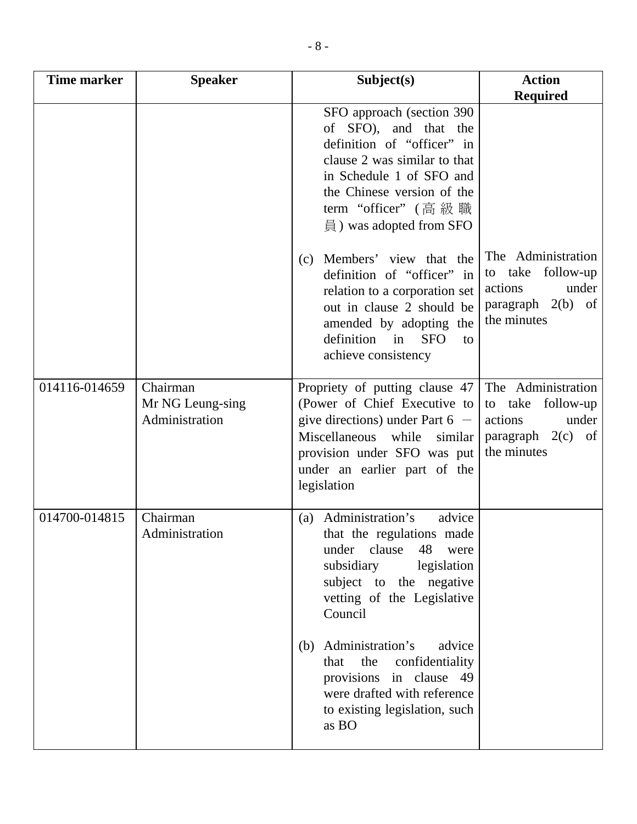| <b>Time marker</b> | <b>Speaker</b>                                 | Subject(s)                                                                                                                                                                                                                             | <b>Action</b>                                                                                        |
|--------------------|------------------------------------------------|----------------------------------------------------------------------------------------------------------------------------------------------------------------------------------------------------------------------------------------|------------------------------------------------------------------------------------------------------|
|                    |                                                | SFO approach (section 390)<br>of SFO), and that the<br>definition of "officer" in<br>clause 2 was similar to that<br>in Schedule 1 of SFO and<br>the Chinese version of the<br>term "officer" (高級職<br>$\exists$ ) was adopted from SFO | <b>Required</b>                                                                                      |
|                    |                                                | Members' view that the<br>(c)<br>definition of "officer" in<br>relation to a corporation set<br>out in clause 2 should be<br>amended by adopting the<br>definition in<br><b>SFO</b><br>to<br>achieve consistency                       | The Administration<br>to take follow-up<br>under<br>actions<br>paragraph 2(b) of<br>the minutes      |
| 014116-014659      | Chairman<br>Mr NG Leung-sing<br>Administration | Propriety of putting clause 47<br>(Power of Chief Executive to<br>give directions) under Part $6 -$<br>Miscellaneous while<br>similar<br>provision under SFO was put<br>under an earlier part of the<br>legislation                    | The Administration<br>to take<br>follow-up<br>under<br>actions<br>paragraph $2(c)$ of<br>the minutes |
| 014700-014815      | Chairman<br>Administration                     | Administration's<br>advice<br>(a)<br>that the regulations made<br>under clause 48 were<br>subsidiary legislation<br>subject to the negative<br>vetting of the Legislative<br>Council                                                   |                                                                                                      |
|                    |                                                | (b) Administration's<br>advice<br>the confidentiality<br>that<br>provisions in clause 49<br>were drafted with reference<br>to existing legislation, such<br>as BO                                                                      |                                                                                                      |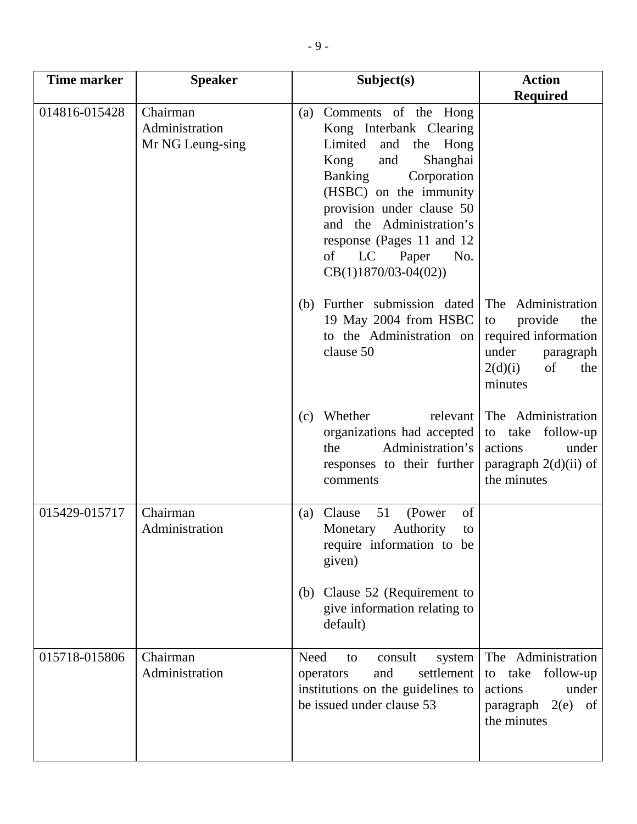| <b>Time marker</b> | <b>Speaker</b>                                 | Subject(s)                                                                                                                                                                                                                                                                                                                 | <b>Action</b>                                                                                                               |
|--------------------|------------------------------------------------|----------------------------------------------------------------------------------------------------------------------------------------------------------------------------------------------------------------------------------------------------------------------------------------------------------------------------|-----------------------------------------------------------------------------------------------------------------------------|
|                    |                                                |                                                                                                                                                                                                                                                                                                                            | <b>Required</b>                                                                                                             |
| 014816-015428      | Chairman<br>Administration<br>Mr NG Leung-sing | Comments of the Hong<br>(a)<br>Kong Interbank Clearing<br>Limited<br>and<br>the<br>Hong<br>Shanghai<br>Kong<br>and<br><b>Banking</b><br>Corporation<br>(HSBC) on the immunity<br>provision under clause 50<br>and the Administration's<br>response (Pages 11 and 12)<br>of<br>LC<br>Paper<br>No.<br>$CB(1)1870/03-04(02))$ |                                                                                                                             |
|                    |                                                | Further submission dated<br>(b)<br>19 May 2004 from HSBC<br>to the Administration on<br>clause 50                                                                                                                                                                                                                          | The Administration<br>provide<br>the<br>to<br>required information<br>under<br>paragraph<br>of<br>2(d)(i)<br>the<br>minutes |
|                    |                                                | Whether<br>relevant<br>(c)<br>organizations had accepted<br>Administration's<br>the<br>responses to their further<br>comments                                                                                                                                                                                              | The Administration<br>to take follow-up<br>actions<br>under<br>paragraph $2(d)(ii)$ of<br>the minutes                       |
| 015429-015717      | Chairman<br>Administration                     | of<br>51<br>(Power<br>Clause<br>(a)<br>Authority<br>Monetary<br>to<br>require information to be<br>given)<br>Clause 52 (Requirement to<br>(b)<br>give information relating to<br>default)                                                                                                                                  |                                                                                                                             |
| 015718-015806      | Chairman<br>Administration                     | Need<br>consult<br>system<br>to<br>and<br>settlement<br>operators<br>institutions on the guidelines to<br>be issued under clause 53                                                                                                                                                                                        | The Administration<br>follow-up<br>take<br>to<br>actions<br>under<br>paragraph 2(e)<br>of<br>the minutes                    |